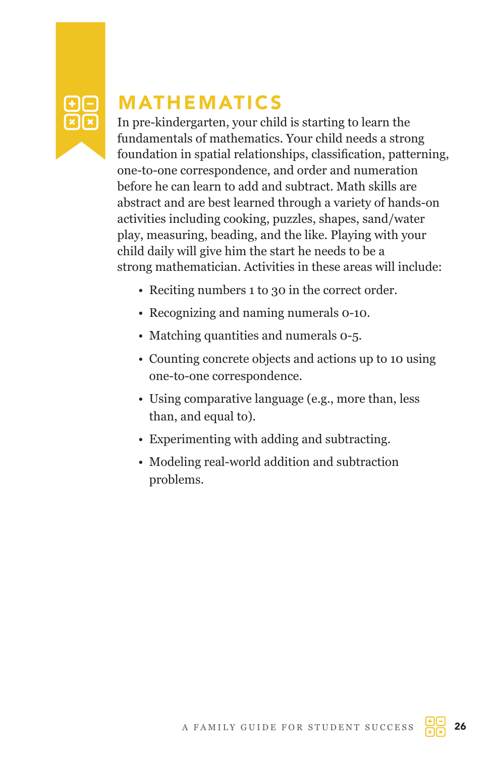

# MATHEMATICS

In pre-kindergarten, your child is starting to learn the fundamentals of mathematics. Your child needs a strong foundation in spatial relationships, classification, patterning, one-to-one correspondence, and order and numeration before he can learn to add and subtract. Math skills are abstract and are best learned through a variety of hands-on activities including cooking, puzzles, shapes, sand/water play, measuring, beading, and the like. Playing with your child daily will give him the start he needs to be a strong mathematician. Activities in these areas will include:

- Reciting numbers 1 to 30 in the correct order.
- Recognizing and naming numerals 0-10.
- Matching quantities and numerals 0-5.
- Counting concrete objects and actions up to 10 using one-to-one correspondence.
- Using comparative language (e.g., more than, less than, and equal to).
- Experimenting with adding and subtracting.
- Modeling real-world addition and subtraction problems.

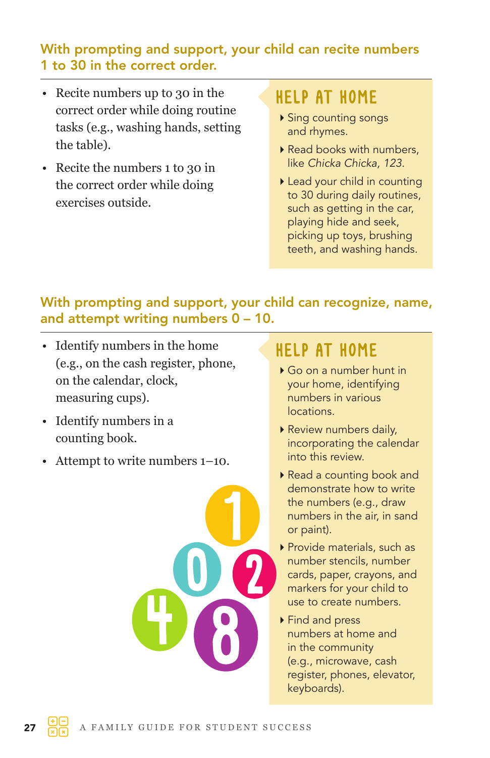#### With prompting and support, your child can recite numbers 1 to 30 in the correct order.

- Recite numbers up to 30 in the correct order while doing routine tasks (e.g., washing hands, setting the table).
- Recite the numbers 1 to 30 in the correct order while doing exercises outside.

### HELP AT HOME

- Sing counting songs and rhymes.
- Read books with numbers, like *Chicka Chicka, 123*.
- Lead your child in counting to 30 during daily routines, such as getting in the car, playing hide and seek, picking up toys, brushing teeth, and washing hands.

#### With prompting and support, your child can recognize, name, and attempt writing numbers 0 – 10.

- Identify numbers in the home (e.g., on the cash register, phone, on the calendar, clock, measuring cups).
- Identify numbers in a counting book.
- Attempt to write numbers 1–10.



- ▶ Go on a number hunt in your home, identifying numbers in various locations.
- Review numbers daily, incorporating the calendar into this review.
- Read a counting book and demonstrate how to write the numbers (e.g., draw numbers in the air, in sand or paint).
- ▶ Provide materials, such as number stencils, number cards, paper, crayons, and markers for your child to use to create numbers.
- ▶ Find and press numbers at home and in the community (e.g., microwave, cash register, phones, elevator, keyboards).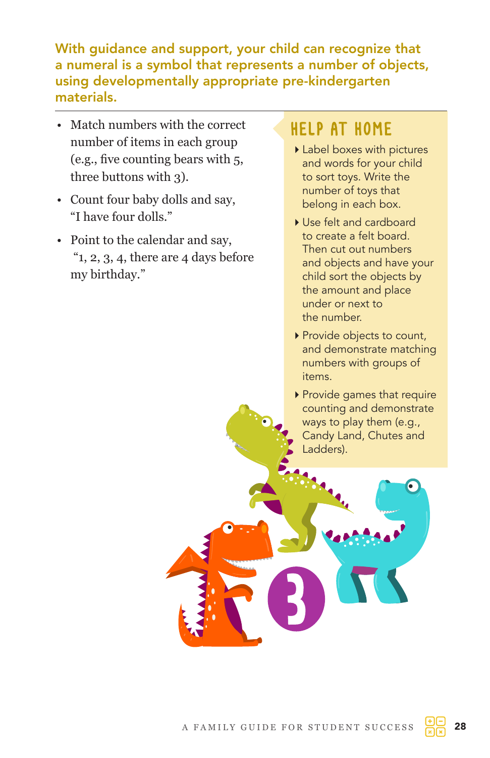With guidance and support, your child can recognize that a numeral is a symbol that represents a number of objects, using developmentally appropriate pre-kindergarten materials.

- Match numbers with the correct number of items in each group (e.g., five counting bears with 5, three buttons with 3).
- Count four baby dolls and say, "I have four dolls."
- Point to the calendar and say, " $1, 2, 3, 4$ , there are  $4$  days before my birthday."

- Label boxes with pictures and words for your child to sort toys. Write the number of toys that belong in each box.
- ▶ Use felt and cardboard to create a felt board. Then cut out numbers and objects and have your child sort the objects by the amount and place under or next to the number.
- Provide objects to count, and demonstrate matching numbers with groups of items.
- Provide games that require counting and demonstrate ways to play them (e.g., Candy Land, Chutes and Ladders).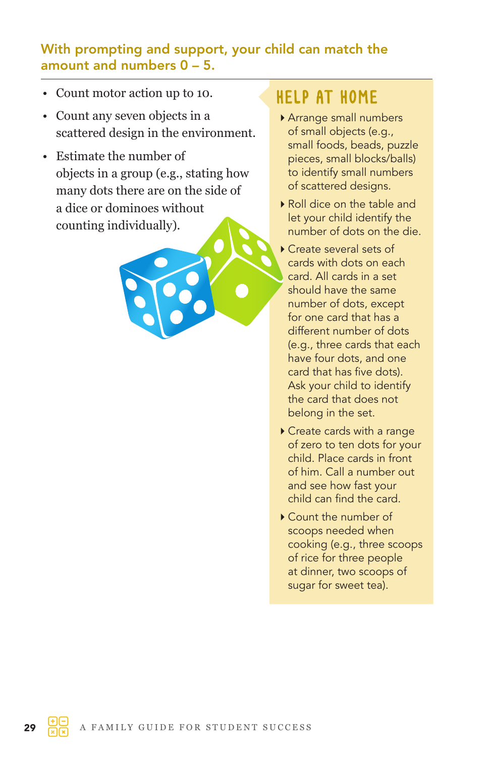#### With prompting and support, your child can match the amount and numbers  $0 - 5$ .

- Count motor action up to 10.
- Count any seven objects in a scattered design in the environment.
- Estimate the number of objects in a group (e.g., stating how many dots there are on the side of a dice or dominoes without counting individually).



- Arrange small numbers of small objects (e.g., small foods, beads, puzzle pieces, small blocks/balls) to identify small numbers of scattered designs.
- Roll dice on the table and let your child identify the number of dots on the die.
- Create several sets of cards with dots on each card. All cards in a set should have the same number of dots, except for one card that has a different number of dots (e.g., three cards that each have four dots, and one card that has five dots). Ask your child to identify the card that does not belong in the set.
- Create cards with a range of zero to ten dots for your child. Place cards in front of him. Call a number out and see how fast your child can find the card.
- Count the number of scoops needed when cooking (e.g., three scoops of rice for three people at dinner, two scoops of sugar for sweet tea).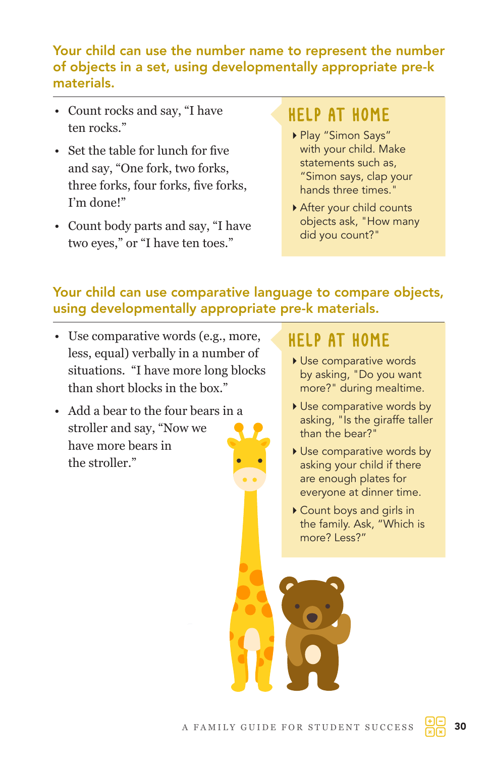#### Your child can use the number name to represent the number of objects in a set, using developmentally appropriate pre-k materials.

- Count rocks and say, "I have ten rocks<sup>"</sup>
- Set the table for lunch for five and say, "One fork, two forks, three forks, four forks, five forks, I'm done!"
- Count body parts and say, "I have two eyes," or "I have ten toes."

### HELP AT HOME

- Play "Simon Says" with your child. Make statements such as, "Simon says, clap your hands three times."
- After your child counts objects ask, "How many did you count?"

#### Your child can use comparative language to compare objects, using developmentally appropriate pre-k materials.

- Use comparative words (e.g., more, less, equal) verbally in a number of situations. "I have more long blocks than short blocks in the box."
- Add a bear to the four bears in a stroller and say, "Now we have more bears in the stroller."

- Use comparative words by asking, "Do you want more?" during mealtime.
- Use comparative words by asking, "Is the giraffe taller than the bear?"
- Use comparative words by asking your child if there are enough plates for everyone at dinner time.
- Count boys and girls in the family. Ask, "Which is more? Less?"

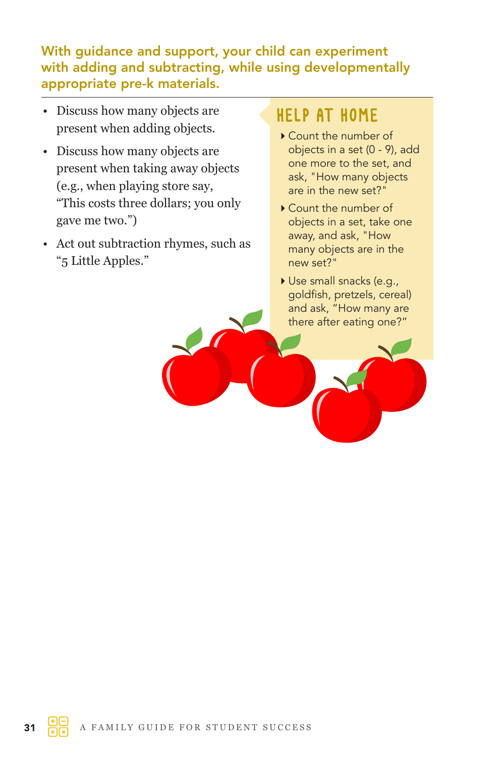#### With guidance and support, your child can experiment with adding and subtracting, while using developmentally appropriate pre-k materials.

- Discuss how many objects are present when adding objects.
- Discuss how many objects are present when taking away objects (e.g., when playing store say, "This costs three dollars; you only gave me two.")
- Act out subtraction rhymes, such as "5 Little Apples."

- Count the number of objects in a set (0 - 9), add one more to the set, and ask, "How many objects are in the new set?"
- Count the number of objects in a set, take one away, and ask, "How many objects are in the new set?"
- Use small snacks (e.g., goldfish, pretzels, cereal) and ask, "How many are there after eating one?"

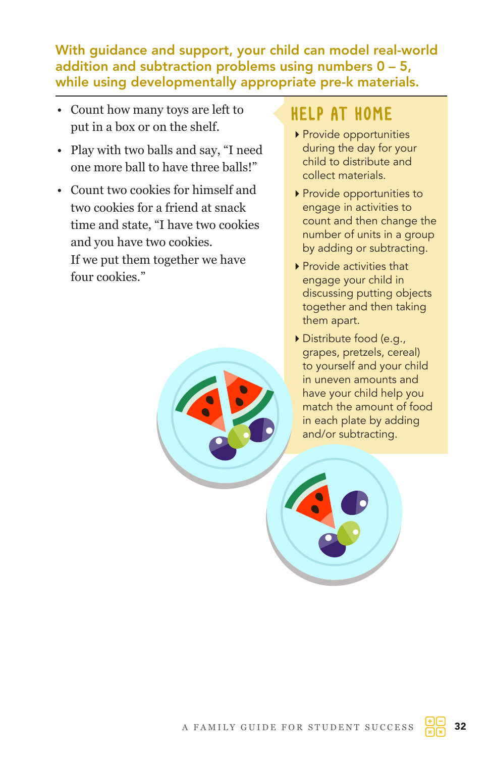With guidance and support, your child can model real-world addition and subtraction problems using numbers  $0 - 5$ , while using developmentally appropriate pre-k materials.

- Count how many toys are left to put in a box or on the shelf.
- Play with two balls and say, "I need one more ball to have three balls!"
- Count two cookies for himself and two cookies for a friend at snack time and state, "I have two cookies and you have two cookies. If we put them together we have four cookies."

- Provide opportunities during the day for your child to distribute and collect materials.
- ▶ Provide opportunities to engage in activities to count and then change the number of units in a group by adding or subtracting.
- ▶ Provide activities that engage your child in discussing putting objects together and then taking them apart.
- Distribute food (e.g., grapes, pretzels, cereal) to yourself and your child in uneven amounts and have your child help you match the amount of food in each plate by adding and/or subtracting.

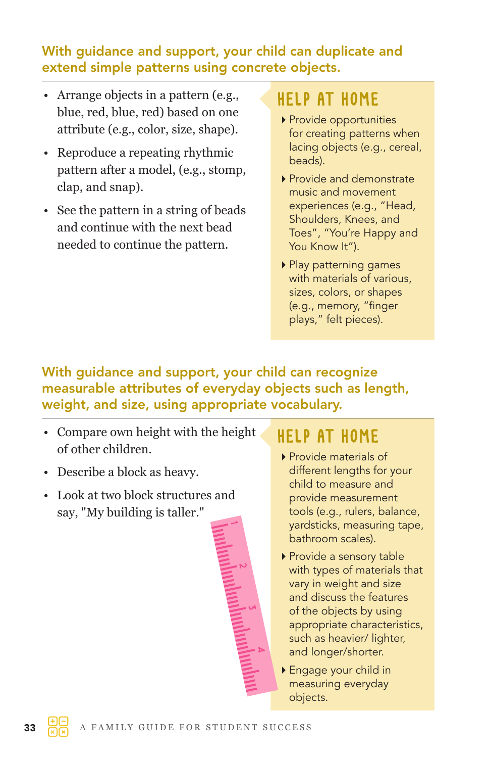#### With guidance and support, your child can duplicate and extend simple patterns using concrete objects.

- Arrange objects in a pattern (e.g., blue, red, blue, red) based on one attribute (e.g., color, size, shape).
- Reproduce a repeating rhythmic pattern after a model, (e.g., stomp, clap, and snap).
- See the pattern in a string of beads and continue with the next bead needed to continue the pattern.

### HELP AT HOME

- Provide opportunities for creating patterns when lacing objects (e.g., cereal, beads).
- ▶ Provide and demonstrate music and movement experiences (e.g., "Head, Shoulders, Knees, and Toes", "You're Happy and You Know It").
- Play patterning games with materials of various, sizes, colors, or shapes (e.g., memory, "finger plays," felt pieces).

### With guidance and support, your child can recognize measurable attributes of everyday objects such as length, weight, and size, using appropriate vocabulary.

- Compare own height with the height of other children.
- Describe a block as heavy.
- Look at two block structures and say, "My building is taller."



- ▶ Provide materials of different lengths for your child to measure and provide measurement tools (e.g., rulers, balance, yardsticks, measuring tape, bathroom scales).
- ▶ Provide a sensory table with types of materials that vary in weight and size and discuss the features of the objects by using appropriate characteristics, such as heavier/ lighter, and longer/shorter.
- Engage your child in measuring everyday objects.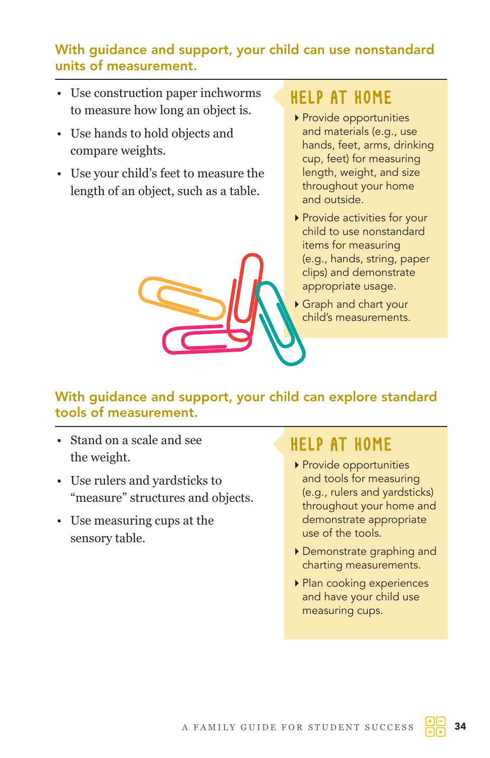#### With guidance and support, your child can use nonstandard units of measurement.

- Use construction paper inchworms to measure how long an object is.
- Use hands to hold objects and compare weights.
- Use your child's feet to measure the length of an object, such as a table.

## HELP AT HOME

- ▶ Provide opportunities and materials (e.g., use hands, feet, arms, drinking cup, feet) for measuring length, weight, and size throughout your home and outside.
- Provide activities for your child to use nonstandard items for measuring (e.g., hands, string, paper clips) and demonstrate appropriate usage.
- Graph and chart your child's measurements.

#### With guidance and support, your child can explore standard tools of measurement.

- Stand on a scale and see the weight.
- Use rulers and yardsticks to "measure" structures and objects.
- Use measuring cups at the sensory table.

- Provide opportunities and tools for measuring (e.g., rulers and yardsticks) throughout your home and demonstrate appropriate use of the tools.
- Demonstrate graphing and charting measurements.
- ▶ Plan cooking experiences and have your child use measuring cups.

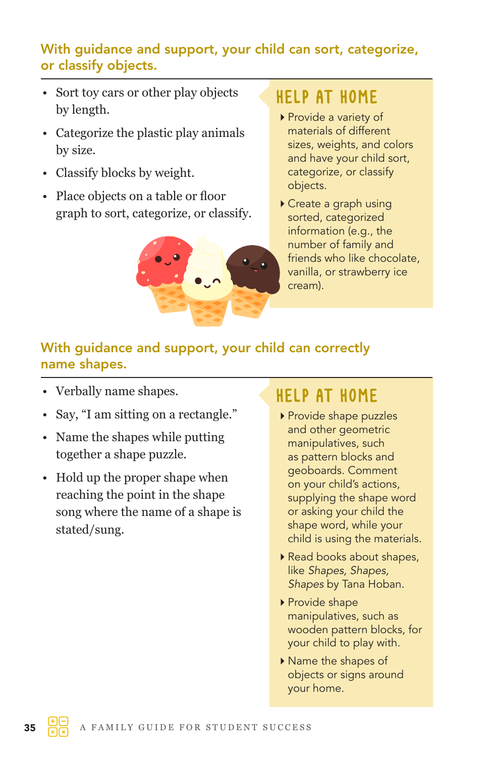#### With guidance and support, your child can sort, categorize, or classify objects.

- Sort toy cars or other play objects by length.
- Categorize the plastic play animals by size.
- Classify blocks by weight.
- Place objects on a table or floor graph to sort, categorize, or classify.



### HELP AT HOME

- ▶ Provide a variety of materials of different sizes, weights, and colors and have your child sort, categorize, or classify objects.
- Create a graph using sorted, categorized information (e.g., the number of family and friends who like chocolate, vanilla, or strawberry ice cream).

### With guidance and support, your child can correctly name shapes.

- Verbally name shapes.
- Say, "I am sitting on a rectangle."
- Name the shapes while putting together a shape puzzle.
- Hold up the proper shape when reaching the point in the shape song where the name of a shape is stated/sung.

- Provide shape puzzles and other geometric manipulatives, such as pattern blocks and geoboards. Comment on your child's actions, supplying the shape word or asking your child the shape word, while your child is using the materials.
- ▶ Read books about shapes, like *Shapes, Shapes, Shapes* by Tana Hoban.
- ▶ Provide shape manipulatives, such as wooden pattern blocks, for your child to play with.
- ▶ Name the shapes of objects or signs around your home.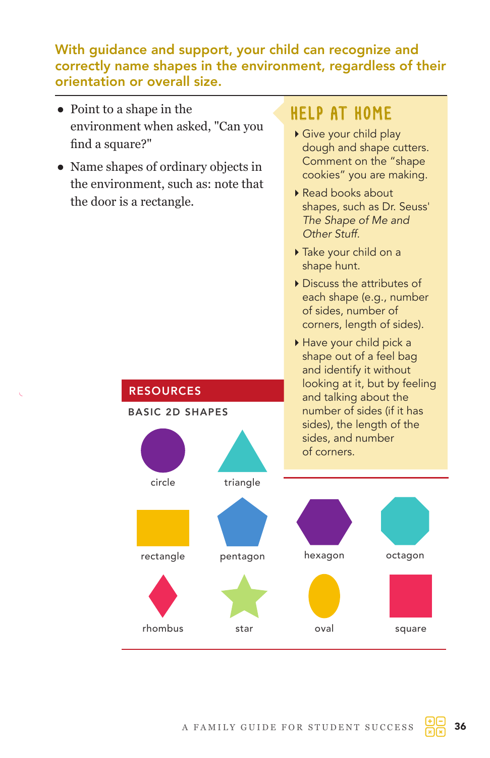#### With guidance and support, your child can recognize and correctly name shapes in the environment, regardless of their orientation or overall size.

- Point to a shape in the environment when asked, "Can you find a square?"
- Name shapes of ordinary objects in the environment, such as: note that the door is a rectangle.

**RESOURCES** 

BASIC 2D SHAPES

circle

rectangle

rhombus

## HELP AT HOME

- Give your child play dough and shape cutters. Comment on the "shape cookies" you are making.
- ▶ Read books about shapes, such as Dr. Seuss' *The Shape of Me and Other Stuff.*
- Take your child on a shape hunt.
- Discuss the attributes of each shape (e.g., number of sides, number of corners, length of sides).
- Have your child pick a shape out of a feel bag and identify it without looking at it, but by feeling and talking about the number of sides (if it has sides), the length of the sides, and number of corners.





#### A FAMILY GUIDE FOR STUDENT SUCCESS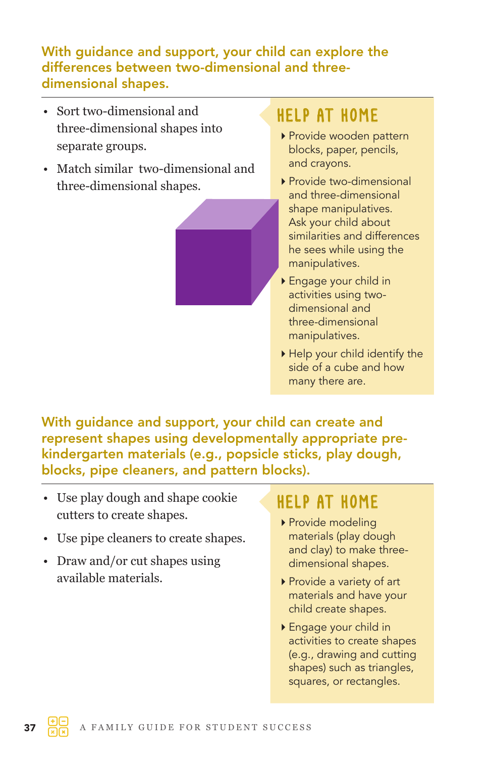#### With guidance and support, your child can explore the differences between two-dimensional and threedimensional shapes.

- Sort two-dimensional and three-dimensional shapes into separate groups.
- Match similar two-dimensional and three-dimensional shapes.



## HELP AT HOME

- Provide wooden pattern blocks, paper, pencils, and crayons.
- ▶ Provide two-dimensional and three-dimensional shape manipulatives. Ask your child about similarities and differences he sees while using the manipulatives.
- Engage your child in activities using twodimensional and three-dimensional manipulatives.
- Help your child identify the side of a cube and how many there are.

With guidance and support, your child can create and represent shapes using developmentally appropriate prekindergarten materials (e.g., popsicle sticks, play dough, blocks, pipe cleaners, and pattern blocks).

- Use play dough and shape cookie cutters to create shapes.
- Use pipe cleaners to create shapes.
- Draw and/or cut shapes using available materials.

- ▶ Provide modeling materials (play dough and clay) to make threedimensional shapes.
- Provide a variety of art materials and have your child create shapes.
- Engage your child in activities to create shapes (e.g., drawing and cutting shapes) such as triangles, squares, or rectangles.